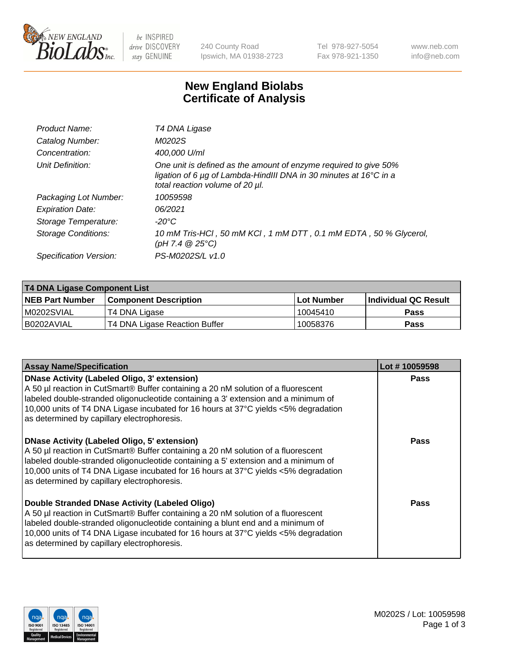

be INSPIRED drive DISCOVERY stay GENUINE

240 County Road Ipswich, MA 01938-2723 Tel 978-927-5054 Fax 978-921-1350 www.neb.com info@neb.com

## **New England Biolabs Certificate of Analysis**

| Product Name:           | T4 DNA Ligase                                                                                                                                                            |
|-------------------------|--------------------------------------------------------------------------------------------------------------------------------------------------------------------------|
| Catalog Number:         | M0202S                                                                                                                                                                   |
| Concentration:          | 400,000 U/ml                                                                                                                                                             |
| Unit Definition:        | One unit is defined as the amount of enzyme required to give 50%<br>ligation of 6 µg of Lambda-HindIII DNA in 30 minutes at 16°C in a<br>total reaction volume of 20 µl. |
| Packaging Lot Number:   | 10059598                                                                                                                                                                 |
| <b>Expiration Date:</b> | 06/2021                                                                                                                                                                  |
| Storage Temperature:    | -20°C                                                                                                                                                                    |
| Storage Conditions:     | 10 mM Tris-HCl, 50 mM KCl, 1 mM DTT, 0.1 mM EDTA, 50 % Glycerol,<br>(pH 7.4 $@25°C$ )                                                                                    |
| Specification Version:  | PS-M0202S/L v1.0                                                                                                                                                         |
|                         |                                                                                                                                                                          |

| T4 DNA Ligase Component List |                               |              |                             |  |
|------------------------------|-------------------------------|--------------|-----------------------------|--|
| <b>NEB Part Number</b>       | <b>Component Description</b>  | l Lot Number | <b>Individual QC Result</b> |  |
| M0202SVIAL                   | T4 DNA Ligase                 | 10045410     | <b>Pass</b>                 |  |
| I B0202AVIAL                 | T4 DNA Ligase Reaction Buffer | 10058376     | <b>Pass</b>                 |  |

| <b>Assay Name/Specification</b>                                                                                                                                                                                                                                                                                                                               | Lot #10059598 |
|---------------------------------------------------------------------------------------------------------------------------------------------------------------------------------------------------------------------------------------------------------------------------------------------------------------------------------------------------------------|---------------|
| DNase Activity (Labeled Oligo, 3' extension)<br>A 50 µl reaction in CutSmart® Buffer containing a 20 nM solution of a fluorescent<br>labeled double-stranded oligonucleotide containing a 3' extension and a minimum of<br>10,000 units of T4 DNA Ligase incubated for 16 hours at 37°C yields <5% degradation<br>as determined by capillary electrophoresis. | <b>Pass</b>   |
| DNase Activity (Labeled Oligo, 5' extension)<br>A 50 µl reaction in CutSmart® Buffer containing a 20 nM solution of a fluorescent<br>labeled double-stranded oligonucleotide containing a 5' extension and a minimum of<br>10,000 units of T4 DNA Ligase incubated for 16 hours at 37°C yields <5% degradation<br>as determined by capillary electrophoresis. | Pass          |
| Double Stranded DNase Activity (Labeled Oligo)<br>A 50 µl reaction in CutSmart® Buffer containing a 20 nM solution of a fluorescent<br>abeled double-stranded oligonucleotide containing a blunt end and a minimum of<br>10,000 units of T4 DNA Ligase incubated for 16 hours at 37°C yields <5% degradation<br>as determined by capillary electrophoresis.   | Pass          |

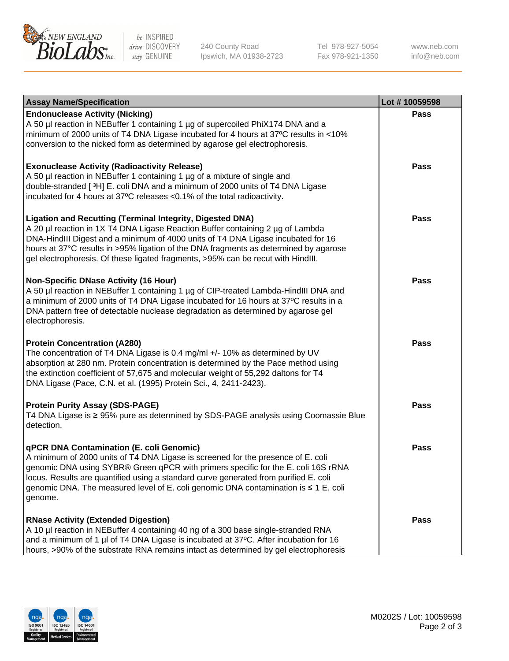

be INSPIRED drive DISCOVERY stay GENUINE

240 County Road Ipswich, MA 01938-2723 Tel 978-927-5054 Fax 978-921-1350

www.neb.com info@neb.com

| <b>Assay Name/Specification</b>                                                                                                                                                                                                                                                                                                                                                                                    | Lot #10059598 |
|--------------------------------------------------------------------------------------------------------------------------------------------------------------------------------------------------------------------------------------------------------------------------------------------------------------------------------------------------------------------------------------------------------------------|---------------|
| <b>Endonuclease Activity (Nicking)</b><br>A 50 µl reaction in NEBuffer 1 containing 1 µg of supercoiled PhiX174 DNA and a<br>minimum of 2000 units of T4 DNA Ligase incubated for 4 hours at 37°C results in <10%<br>conversion to the nicked form as determined by agarose gel electrophoresis.                                                                                                                   | <b>Pass</b>   |
| <b>Exonuclease Activity (Radioactivity Release)</b><br>A 50 µl reaction in NEBuffer 1 containing 1 µg of a mixture of single and<br>double-stranded [3H] E. coli DNA and a minimum of 2000 units of T4 DNA Ligase<br>incubated for 4 hours at 37°C releases <0.1% of the total radioactivity.                                                                                                                      | <b>Pass</b>   |
| <b>Ligation and Recutting (Terminal Integrity, Digested DNA)</b><br>A 20 µl reaction in 1X T4 DNA Ligase Reaction Buffer containing 2 µg of Lambda<br>DNA-HindIII Digest and a minimum of 4000 units of T4 DNA Ligase incubated for 16<br>hours at 37°C results in >95% ligation of the DNA fragments as determined by agarose<br>gel electrophoresis. Of these ligated fragments, >95% can be recut with HindIII. | <b>Pass</b>   |
| <b>Non-Specific DNase Activity (16 Hour)</b><br>A 50 µl reaction in NEBuffer 1 containing 1 µg of CIP-treated Lambda-HindIII DNA and<br>a minimum of 2000 units of T4 DNA Ligase incubated for 16 hours at 37°C results in a<br>DNA pattern free of detectable nuclease degradation as determined by agarose gel<br>electrophoresis.                                                                               | <b>Pass</b>   |
| <b>Protein Concentration (A280)</b><br>The concentration of T4 DNA Ligase is 0.4 mg/ml +/- 10% as determined by UV<br>absorption at 280 nm. Protein concentration is determined by the Pace method using<br>the extinction coefficient of 57,675 and molecular weight of 55,292 daltons for T4<br>DNA Ligase (Pace, C.N. et al. (1995) Protein Sci., 4, 2411-2423).                                                | <b>Pass</b>   |
| <b>Protein Purity Assay (SDS-PAGE)</b><br>T4 DNA Ligase is ≥ 95% pure as determined by SDS-PAGE analysis using Coomassie Blue<br>detection.                                                                                                                                                                                                                                                                        | <b>Pass</b>   |
| qPCR DNA Contamination (E. coli Genomic)<br>A minimum of 2000 units of T4 DNA Ligase is screened for the presence of E. coli<br>genomic DNA using SYBR® Green qPCR with primers specific for the E. coli 16S rRNA<br>locus. Results are quantified using a standard curve generated from purified E. coli<br>genomic DNA. The measured level of E. coli genomic DNA contamination is ≤ 1 E. coli<br>genome.        | Pass          |
| <b>RNase Activity (Extended Digestion)</b><br>A 10 µl reaction in NEBuffer 4 containing 40 ng of a 300 base single-stranded RNA<br>and a minimum of 1 µl of T4 DNA Ligase is incubated at 37°C. After incubation for 16<br>hours, >90% of the substrate RNA remains intact as determined by gel electrophoresis                                                                                                    | <b>Pass</b>   |